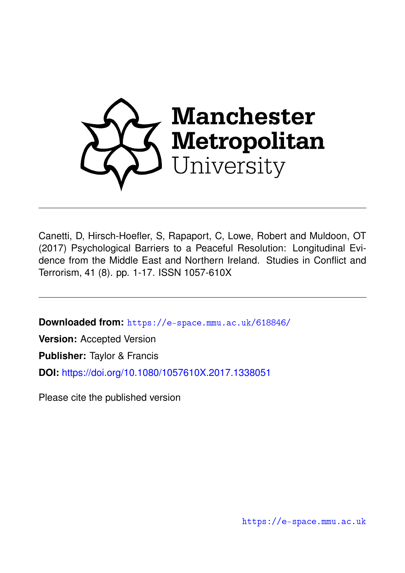

Canetti, D, Hirsch-Hoefler, S, Rapaport, C, Lowe, Robert and Muldoon, OT (2017) Psychological Barriers to a Peaceful Resolution: Longitudinal Evidence from the Middle East and Northern Ireland. Studies in Conflict and Terrorism, 41 (8). pp. 1-17. ISSN 1057-610X

**Downloaded from:** <https://e-space.mmu.ac.uk/618846/>

**Version:** Accepted Version

**Publisher:** Taylor & Francis

**DOI:** <https://doi.org/10.1080/1057610X.2017.1338051>

Please cite the published version

<https://e-space.mmu.ac.uk>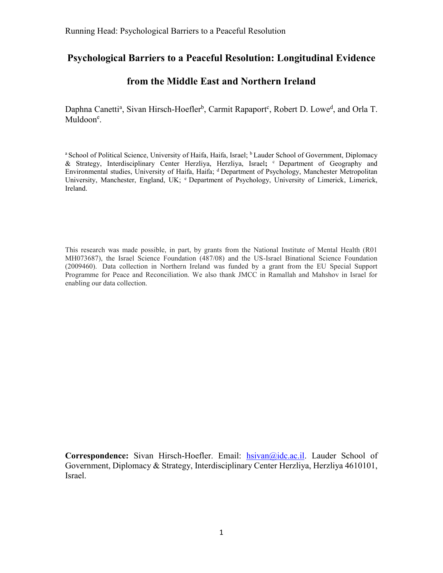# **Psychological Barriers to a Peaceful Resolution: Longitudinal Evidence**

# **from the Middle East and Northern Ireland**

Daphna Canetti<sup>a</sup>, Sivan Hirsch-Hoefler<sup>b</sup>, Carmit Rapaport<sup>c</sup>, Robert D. Lowe<sup>d</sup>, and Orla T. Muldoon<sup>e</sup>.

<sup>a</sup> School of Political Science, University of Haifa, Haifa, Israel; <sup>b</sup> Lauder School of Government, Diplomacy & Strategy, Interdisciplinary Center Herzliya, Herzliya, Israel**;** <sup>c</sup> Department of Geography and Environmental studies, University of Haifa, Haifa; <sup>d</sup> Department of Psychology, Manchester Metropolitan University, Manchester, England, UK; <sup>e</sup> Department of Psychology, University of Limerick, Limerick, Ireland.

This research was made possible, in part, by grants from the National Institute of Mental Health (R01 MH073687), the Israel Science Foundation (487/08) and the US-Israel Binational Science Foundation (2009460). Data collection in Northern Ireland was funded by a grant from the EU Special Support Programme for Peace and Reconciliation. We also thank JMCC in Ramallah and Mahshov in Israel for enabling our data collection.

**Correspondence:** Sivan Hirsch-Hoefler. Email: [hsivan@idc.ac.il.](mailto:hsivan@idc.ac.il) Lauder School of Government, Diplomacy & Strategy, Interdisciplinary Center Herzliya, Herzliya 4610101, Israel.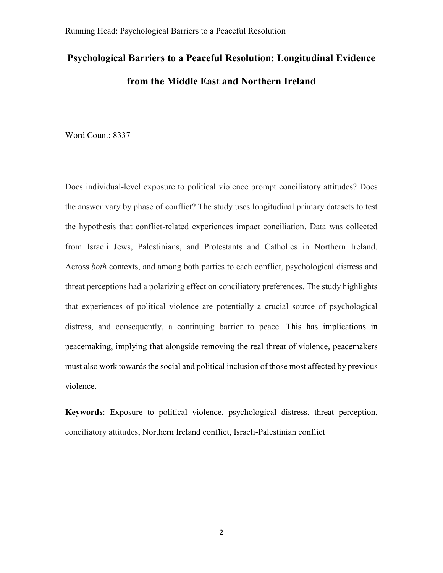# **Psychological Barriers to a Peaceful Resolution: Longitudinal Evidence from the Middle East and Northern Ireland**

Word Count: 8337

Does individual-level exposure to political violence prompt conciliatory attitudes? Does the answer vary by phase of conflict? The study uses longitudinal primary datasets to test the hypothesis that conflict-related experiences impact conciliation. Data was collected from Israeli Jews, Palestinians, and Protestants and Catholics in Northern Ireland. Across *both* contexts, and among both parties to each conflict, psychological distress and threat perceptions had a polarizing effect on conciliatory preferences. The study highlights that experiences of political violence are potentially a crucial source of psychological distress, and consequently, a continuing barrier to peace. This has implications in peacemaking, implying that alongside removing the real threat of violence, peacemakers must also work towards the social and political inclusion of those most affected by previous violence.

**Keywords**: Exposure to political violence, psychological distress, threat perception, conciliatory attitudes, Northern Ireland conflict, Israeli-Palestinian conflict

2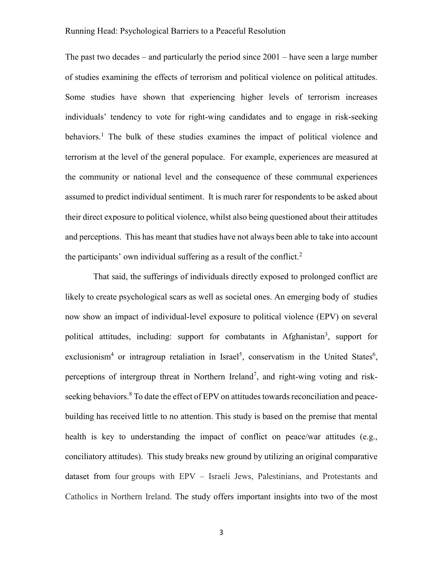The past two decades – and particularly the period since 2001 – have seen a large number of studies examining the effects of terrorism and political violence on political attitudes. Some studies have shown that experiencing higher levels of terrorism increases individuals' tendency to vote for right-wing candidates and to engage in risk-seeking behaviors.<sup>1</sup> The bulk of these studies examines the impact of political violence and terrorism at the level of the general populace. For example, experiences are measured at the community or national level and the consequence of these communal experiences assumed to predict individual sentiment. It is much rarer for respondents to be asked about their direct exposure to political violence, whilst also being questioned about their attitudes and perceptions. This has meant that studies have not always been able to take into account the participants' own individual suffering as a result of the conflict. 2

That said, the sufferings of individuals directly exposed to prolonged conflict are likely to create psychological scars as well as societal ones. An emerging body of studies now show an impact of individual-level exposure to political violence (EPV) on several political attitudes, including: support for combatants in Afghanistan<sup>3</sup>, support for exclusionism<sup>4</sup> or intragroup retaliation in Israel<sup>5</sup>, conservatism in the United States<sup>6</sup>, perceptions of intergroup threat in Northern Ireland<sup>7</sup>, and right-wing voting and riskseeking behaviors.<sup>8</sup> To date the effect of EPV on attitudes towards reconciliation and peacebuilding has received little to no attention. This study is based on the premise that mental health is key to understanding the impact of conflict on peace/war attitudes (e.g., conciliatory attitudes). This study breaks new ground by utilizing an original comparative dataset from four groups with EPV – Israeli Jews, Palestinians, and Protestants and Catholics in Northern Ireland. The study offers important insights into two of the most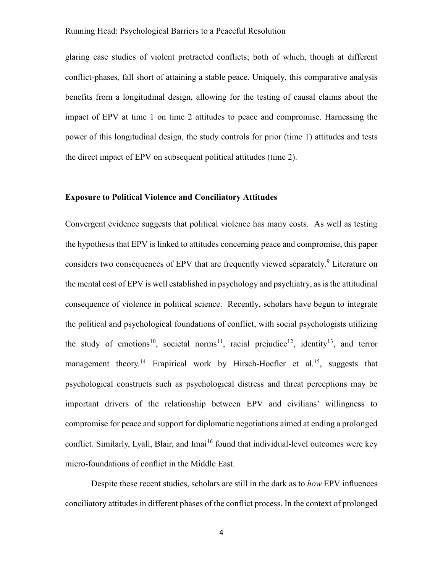glaring case studies of violent protracted conflicts; both of which, though at different conflict-phases, fall short of attaining a stable peace. Uniquely, this comparative analysis benefits from a longitudinal design, allowing for the testing of causal claims about the impact of EPV at time 1 on time 2 attitudes to peace and compromise. Harnessing the power of this longitudinal design, the study controls for prior (time 1) attitudes and tests the direct impact of EPV on subsequent political attitudes (time 2).

# **Exposure to Political Violence and Conciliatory Attitudes**

Convergent evidence suggests that political violence has many costs. As well as testing the hypothesis that EPV is linked to attitudes concerning peace and compromise, this paper considers two consequences of EPV that are frequently viewed separately.<sup>9</sup> Literature on the mental cost of EPV is well established in psychology and psychiatry, as is the attitudinal consequence of violence in political science. Recently, scholars have begun to integrate the political and psychological foundations of conflict, with social psychologists utilizing the study of emotions<sup>10</sup>, societal norms<sup>11</sup>, racial prejudice<sup>12</sup>, identity<sup>13</sup>, and terror management theory.<sup>14</sup> Empirical work by Hirsch-Hoefler et al.<sup>15</sup>, suggests that psychological constructs such as psychological distress and threat perceptions may be important drivers of the relationship between EPV and civilians' willingness to compromise for peace and support for diplomatic negotiations aimed at ending a prolonged conflict. Similarly, Lyall, Blair, and Imai<sup>16</sup> found that individual-level outcomes were key micro-foundations of conflict in the Middle East.

Despite these recent studies, scholars are still in the dark as to *how* EPV influences conciliatory attitudes in different phases of the conflict process. In the context of prolonged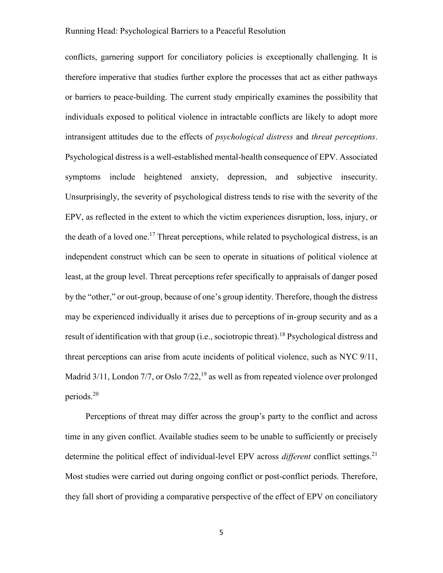conflicts, garnering support for conciliatory policies is exceptionally challenging. It is therefore imperative that studies further explore the processes that act as either pathways or barriers to peace-building. The current study empirically examines the possibility that individuals exposed to political violence in intractable conflicts are likely to adopt more intransigent attitudes due to the effects of *psychological distress* and *threat perceptions*. Psychological distress is a well-established mental-health consequence of EPV. Associated symptoms include heightened anxiety, depression, and subjective insecurity. Unsurprisingly, the severity of psychological distress tends to rise with the severity of the EPV, as reflected in the extent to which the victim experiences disruption, loss, injury, or the death of a loved one.<sup>17</sup> Threat perceptions, while related to psychological distress, is an independent construct which can be seen to operate in situations of political violence at least, at the group level. Threat perceptions refer specifically to appraisals of danger posed by the "other," or out-group, because of one's group identity. Therefore, though the distress may be experienced individually it arises due to perceptions of in-group security and as a result of identification with that group (i.e., sociotropic threat).<sup>18</sup> Psychological distress and threat perceptions can arise from acute incidents of political violence, such as NYC 9/11, Madrid  $3/11$ , London  $7/7$ , or Oslo  $7/22$ ,  $^{19}$  as well as from repeated violence over prolonged periods. 20

Perceptions of threat may differ across the group's party to the conflict and across time in any given conflict. Available studies seem to be unable to sufficiently or precisely determine the political effect of individual-level EPV across *different* conflict settings. 21 Most studies were carried out during ongoing conflict or post-conflict periods. Therefore, they fall short of providing a comparative perspective of the effect of EPV on conciliatory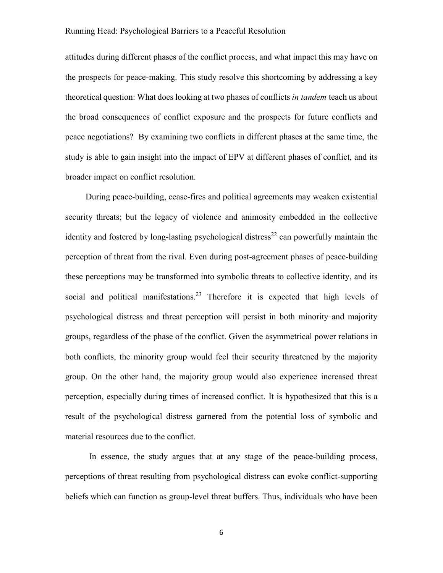attitudes during different phases of the conflict process, and what impact this may have on the prospects for peace-making. This study resolve this shortcoming by addressing a key theoretical question: What does looking at two phases of conflicts *in tandem* teach us about the broad consequences of conflict exposure and the prospects for future conflicts and peace negotiations? By examining two conflicts in different phases at the same time, the study is able to gain insight into the impact of EPV at different phases of conflict, and its broader impact on conflict resolution.

During peace-building, cease-fires and political agreements may weaken existential security threats; but the legacy of violence and animosity embedded in the collective identity and fostered by long-lasting psychological distress<sup>22</sup> can powerfully maintain the perception of threat from the rival. Even during post-agreement phases of peace-building these perceptions may be transformed into symbolic threats to collective identity, and its social and political manifestations.<sup>23</sup> Therefore it is expected that high levels of psychological distress and threat perception will persist in both minority and majority groups, regardless of the phase of the conflict. Given the asymmetrical power relations in both conflicts, the minority group would feel their security threatened by the majority group. On the other hand, the majority group would also experience increased threat perception, especially during times of increased conflict. It is hypothesized that this is a result of the psychological distress garnered from the potential loss of symbolic and material resources due to the conflict.

In essence, the study argues that at any stage of the peace-building process, perceptions of threat resulting from psychological distress can evoke conflict-supporting beliefs which can function as group-level threat buffers. Thus, individuals who have been

6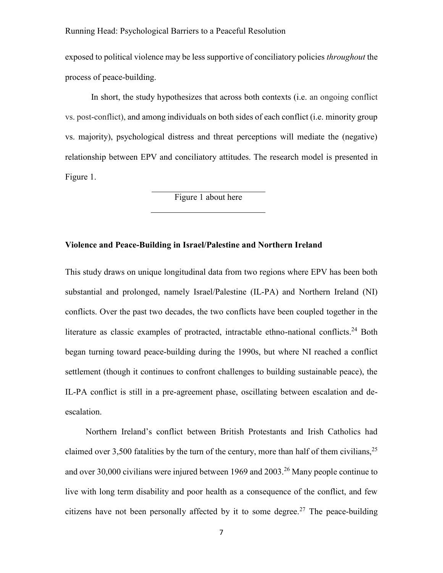exposed to political violence may be less supportive of conciliatory policies *throughout* the process of peace-building.

In short, the study hypothesizes that across both contexts (i.e. an ongoing conflict vs. post-conflict), and among individuals on both sides of each conflict (i.e. minority group vs. majority), psychological distress and threat perceptions will mediate the (negative) relationship between EPV and conciliatory attitudes. The research model is presented in Figure 1.

Figure 1 about here

# **Violence and Peace-Building in Israel/Palestine and Northern Ireland**

This study draws on unique longitudinal data from two regions where EPV has been both substantial and prolonged, namely Israel/Palestine (IL-PA) and Northern Ireland (NI) conflicts. Over the past two decades, the two conflicts have been coupled together in the literature as classic examples of protracted, intractable ethno-national conflicts.<sup>24</sup> Both began turning toward peace-building during the 1990s, but where NI reached a conflict settlement (though it continues to confront challenges to building sustainable peace), the IL-PA conflict is still in a pre-agreement phase, oscillating between escalation and deescalation.

Northern Ireland's conflict between British Protestants and Irish Catholics had claimed over 3,500 fatalities by the turn of the century, more than half of them civilians,  $2^5$ and over 30,000 civilians were injured between 1969 and 2003.<sup>26</sup> Many people continue to live with long term disability and poor health as a consequence of the conflict, and few citizens have not been personally affected by it to some degree.<sup>27</sup> The peace-building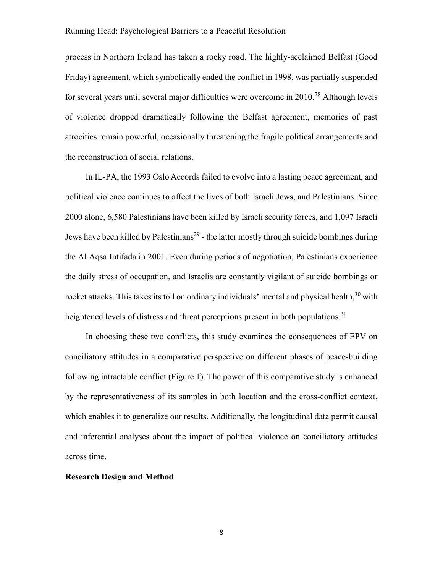process in Northern Ireland has taken a rocky road. The highly-acclaimed Belfast (Good Friday) agreement, which symbolically ended the conflict in 1998, was partially suspended for several years until several major difficulties were overcome in  $2010<sup>28</sup>$  Although levels of violence dropped dramatically following the Belfast agreement, memories of past atrocities remain powerful, occasionally threatening the fragile political arrangements and the reconstruction of social relations.

In IL-PA, the 1993 Oslo Accords failed to evolve into a lasting peace agreement, and political violence continues to affect the lives of both Israeli Jews, and Palestinians. Since 2000 alone, 6,580 Palestinians have been killed by Israeli security forces, and 1,097 Israeli Jews have been killed by Palestinians<sup>29</sup> - the latter mostly through suicide bombings during the Al Aqsa Intifada in 2001. Even during periods of negotiation, Palestinians experience the daily stress of occupation, and Israelis are constantly vigilant of suicide bombings or rocket attacks. This takes its toll on ordinary individuals' mental and physical health, <sup>30</sup> with heightened levels of distress and threat perceptions present in both populations.<sup>31</sup>

In choosing these two conflicts, this study examines the consequences of EPV on conciliatory attitudes in a comparative perspective on different phases of peace-building following intractable conflict (Figure 1). The power of this comparative study is enhanced by the representativeness of its samples in both location and the cross-conflict context, which enables it to generalize our results. Additionally, the longitudinal data permit causal and inferential analyses about the impact of political violence on conciliatory attitudes across time.

#### **Research Design and Method**

8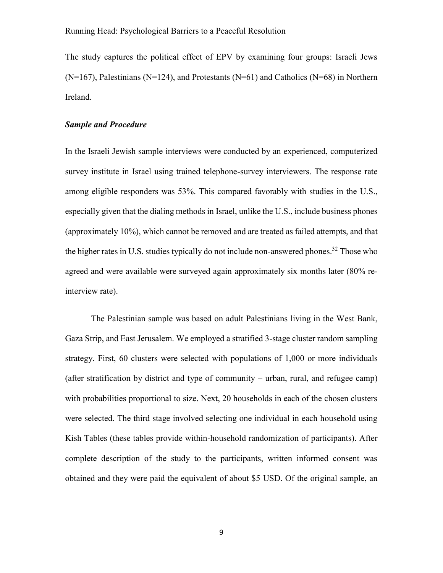The study captures the political effect of EPV by examining four groups: Israeli Jews  $(N=167)$ , Palestinians (N=124), and Protestants (N=61) and Catholics (N=68) in Northern Ireland.

# *Sample and Procedure*

In the Israeli Jewish sample interviews were conducted by an experienced, computerized survey institute in Israel using trained telephone-survey interviewers. The response rate among eligible responders was 53%. This compared favorably with studies in the U.S., especially given that the dialing methods in Israel, unlike the U.S., include business phones (approximately 10%), which cannot be removed and are treated as failed attempts, and that the higher rates in U.S. studies typically do not include non-answered phones.<sup>32</sup> Those who agreed and were available were surveyed again approximately six months later (80% reinterview rate).

The Palestinian sample was based on adult Palestinians living in the West Bank, Gaza Strip, and East Jerusalem. We employed a stratified 3-stage cluster random sampling strategy. First, 60 clusters were selected with populations of 1,000 or more individuals (after stratification by district and type of community – urban, rural, and refugee camp) with probabilities proportional to size. Next, 20 households in each of the chosen clusters were selected. The third stage involved selecting one individual in each household using Kish Tables (these tables provide within-household randomization of participants). After complete description of the study to the participants, written informed consent was obtained and they were paid the equivalent of about \$5 USD. Of the original sample, an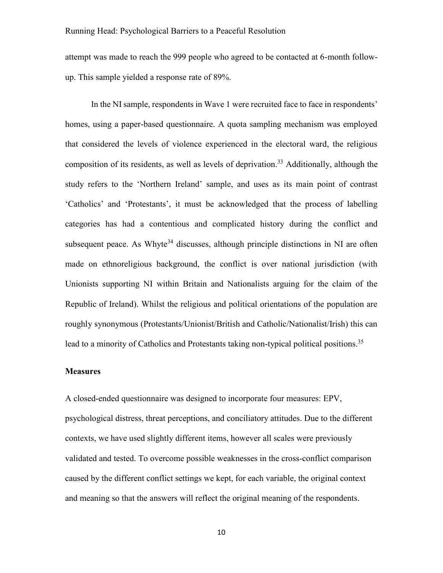attempt was made to reach the 999 people who agreed to be contacted at 6-month followup. This sample yielded a response rate of 89%.

In the NI sample, respondents in Wave 1 were recruited face to face in respondents' homes, using a paper-based questionnaire. A quota sampling mechanism was employed that considered the levels of violence experienced in the electoral ward, the religious composition of its residents, as well as levels of deprivation.<sup>33</sup> Additionally, although the study refers to the 'Northern Ireland' sample, and uses as its main point of contrast 'Catholics' and 'Protestants', it must be acknowledged that the process of labelling categories has had a contentious and complicated history during the conflict and subsequent peace. As Whyte<sup>34</sup> discusses, although principle distinctions in NI are often made on ethnoreligious background, the conflict is over national jurisdiction (with Unionists supporting NI within Britain and Nationalists arguing for the claim of the Republic of Ireland). Whilst the religious and political orientations of the population are roughly synonymous (Protestants/Unionist/British and Catholic/Nationalist/Irish) this can lead to a minority of Catholics and Protestants taking non-typical political positions.<sup>35</sup>

# **Measures**

A closed-ended questionnaire was designed to incorporate four measures: EPV, psychological distress, threat perceptions, and conciliatory attitudes. Due to the different contexts, we have used slightly different items, however all scales were previously validated and tested. To overcome possible weaknesses in the cross-conflict comparison caused by the different conflict settings we kept, for each variable, the original context and meaning so that the answers will reflect the original meaning of the respondents.

10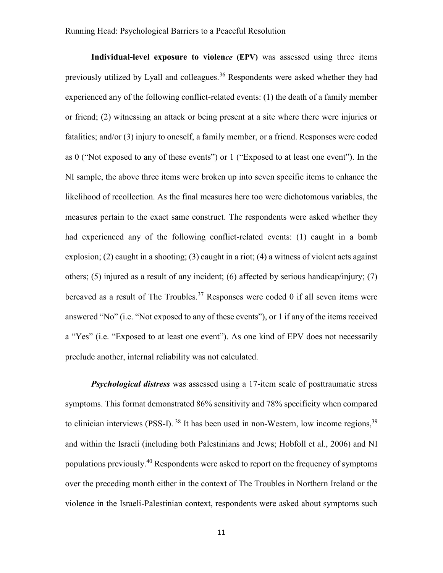**Individual-level exposure to violen***ce* **(EPV)** was assessed using three items previously utilized by Lyall and colleagues.<sup>36</sup> Respondents were asked whether they had experienced any of the following conflict-related events: (1) the death of a family member or friend; (2) witnessing an attack or being present at a site where there were injuries or fatalities; and/or (3) injury to oneself, a family member, or a friend. Responses were coded as 0 ("Not exposed to any of these events") or 1 ("Exposed to at least one event"). In the NI sample, the above three items were broken up into seven specific items to enhance the likelihood of recollection. As the final measures here too were dichotomous variables, the measures pertain to the exact same construct. The respondents were asked whether they had experienced any of the following conflict-related events: (1) caught in a bomb explosion; (2) caught in a shooting; (3) caught in a riot; (4) a witness of violent acts against others; (5) injured as a result of any incident; (6) affected by serious handicap/injury; (7) bereaved as a result of The Troubles.<sup>37</sup> Responses were coded 0 if all seven items were answered "No" (i.e. "Not exposed to any of these events"), or 1 if any of the items received a "Yes" (i.e. "Exposed to at least one event"). As one kind of EPV does not necessarily preclude another, internal reliability was not calculated.

*Psychological distress* was assessed using a 17-item scale of posttraumatic stress symptoms. This format demonstrated 86% sensitivity and 78% specificity when compared to clinician interviews (PSS-I). <sup>38</sup> It has been used in non-Western, low income regions, <sup>39</sup> and within the Israeli (including both Palestinians and Jews; Hobfoll et al., 2006) and NI populations previously.<sup>40</sup> Respondents were asked to report on the frequency of symptoms over the preceding month either in the context of The Troubles in Northern Ireland or the violence in the Israeli-Palestinian context, respondents were asked about symptoms such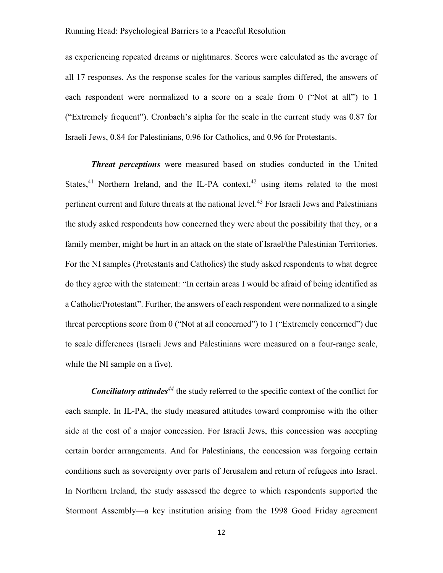as experiencing repeated dreams or nightmares. Scores were calculated as the average of all 17 responses. As the response scales for the various samples differed, the answers of each respondent were normalized to a score on a scale from 0 ("Not at all") to 1 ("Extremely frequent"). Cronbach's alpha for the scale in the current study was 0.87 for Israeli Jews, 0.84 for Palestinians, 0.96 for Catholics, and 0.96 for Protestants.

*Threat perceptions* were measured based on studies conducted in the United States,<sup>41</sup> Northern Ireland, and the IL-PA context,<sup>42</sup> using items related to the most pertinent current and future threats at the national level.<sup>43</sup> For Israeli Jews and Palestinians the study asked respondents how concerned they were about the possibility that they, or a family member, might be hurt in an attack on the state of Israel/the Palestinian Territories. For the NI samples (Protestants and Catholics) the study asked respondents to what degree do they agree with the statement: "In certain areas I would be afraid of being identified as a Catholic/Protestant". Further, the answers of each respondent were normalized to a single threat perceptions score from 0 ("Not at all concerned") to 1 ("Extremely concerned") due to scale differences (Israeli Jews and Palestinians were measured on a four-range scale, while the NI sample on a five)*.*

*Conciliatory attitudes<sup>44</sup>* the study referred to the specific context of the conflict for each sample. In IL-PA, the study measured attitudes toward compromise with the other side at the cost of a major concession. For Israeli Jews, this concession was accepting certain border arrangements. And for Palestinians, the concession was forgoing certain conditions such as sovereignty over parts of Jerusalem and return of refugees into Israel. In Northern Ireland, the study assessed the degree to which respondents supported the Stormont Assembly—a key institution arising from the 1998 Good Friday agreement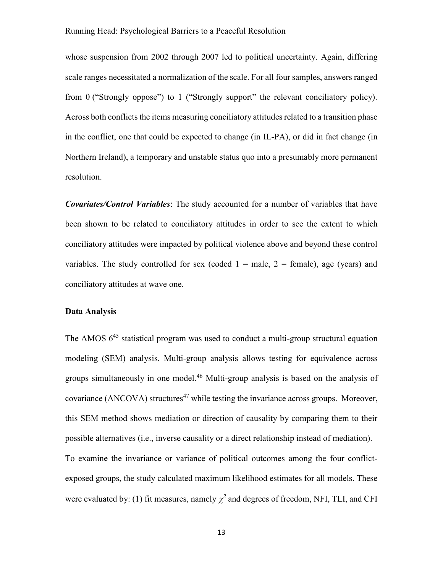whose suspension from 2002 through 2007 led to political uncertainty. Again, differing scale ranges necessitated a normalization of the scale. For all four samples, answers ranged from 0 ("Strongly oppose") to 1 ("Strongly support" the relevant conciliatory policy). Across both conflicts the items measuring conciliatory attitudes related to a transition phase in the conflict, one that could be expected to change (in IL-PA), or did in fact change (in Northern Ireland), a temporary and unstable status quo into a presumably more permanent resolution.

*Covariates/Control Variables*: The study accounted for a number of variables that have been shown to be related to conciliatory attitudes in order to see the extent to which conciliatory attitudes were impacted by political violence above and beyond these control variables. The study controlled for sex (coded  $1 =$  male,  $2 =$  female), age (years) and conciliatory attitudes at wave one.

## **Data Analysis**

The AMOS  $6^{45}$  statistical program was used to conduct a multi-group structural equation modeling (SEM) analysis. Multi-group analysis allows testing for equivalence across groups simultaneously in one model.<sup>46</sup> Multi-group analysis is based on the analysis of covariance (ANCOVA) structures<sup>47</sup> while testing the invariance across groups. Moreover, this SEM method shows mediation or direction of causality by comparing them to their possible alternatives (i.e., inverse causality or a direct relationship instead of mediation). To examine the invariance or variance of political outcomes among the four conflictexposed groups, the study calculated maximum likelihood estimates for all models. These were evaluated by: (1) fit measures, namely  $\chi^2$  and degrees of freedom, NFI, TLI, and CFI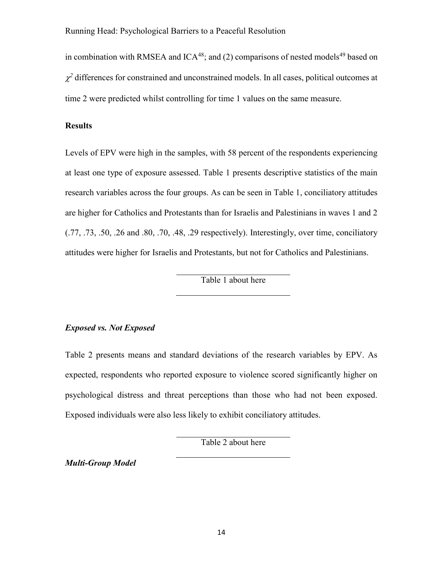in combination with RMSEA and  $ICA^{48}$ ; and (2) comparisons of nested models<sup>49</sup> based on  $\chi^2$  differences for constrained and unconstrained models. In all cases, political outcomes at time 2 were predicted whilst controlling for time 1 values on the same measure.

# **Results**

Levels of EPV were high in the samples, with 58 percent of the respondents experiencing at least one type of exposure assessed. Table 1 presents descriptive statistics of the main research variables across the four groups. As can be seen in Table 1, conciliatory attitudes are higher for Catholics and Protestants than for Israelis and Palestinians in waves 1 and 2 (.77, .73, .50, .26 and .80, .70, .48, .29 respectively). Interestingly, over time, conciliatory attitudes were higher for Israelis and Protestants, but not for Catholics and Palestinians.

Table 1 about here

# *Exposed vs. Not Exposed*

Table 2 presents means and standard deviations of the research variables by EPV. As expected, respondents who reported exposure to violence scored significantly higher on psychological distress and threat perceptions than those who had not been exposed. Exposed individuals were also less likely to exhibit conciliatory attitudes.

Table 2 about here

*Multi-Group Model*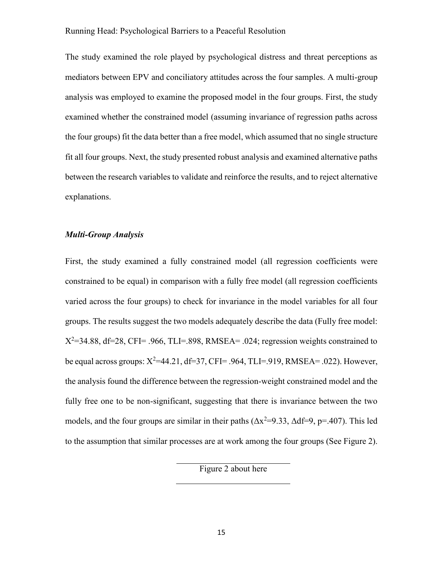The study examined the role played by psychological distress and threat perceptions as mediators between EPV and conciliatory attitudes across the four samples. A multi-group analysis was employed to examine the proposed model in the four groups. First, the study examined whether the constrained model (assuming invariance of regression paths across the four groups) fit the data better than a free model, which assumed that no single structure fit all four groups. Next, the study presented robust analysis and examined alternative paths between the research variables to validate and reinforce the results, and to reject alternative explanations.

# *Multi-Group Analysis*

First, the study examined a fully constrained model (all regression coefficients were constrained to be equal) in comparison with a fully free model (all regression coefficients varied across the four groups) to check for invariance in the model variables for all four groups. The results suggest the two models adequately describe the data (Fully free model:  $X^2$ =34.88, df=28, CFI= .966, TLI=.898, RMSEA= .024; regression weights constrained to be equal across groups:  $X^2=44.21$ , df=37, CFI= .964, TLI=.919, RMSEA= .022). However, the analysis found the difference between the regression-weight constrained model and the fully free one to be non-significant, suggesting that there is invariance between the two models, and the four groups are similar in their paths  $(\Delta x^2=9.33, \Delta df=9, p=.407)$ . This led to the assumption that similar processes are at work among the four groups (See Figure 2).

Figure 2 about here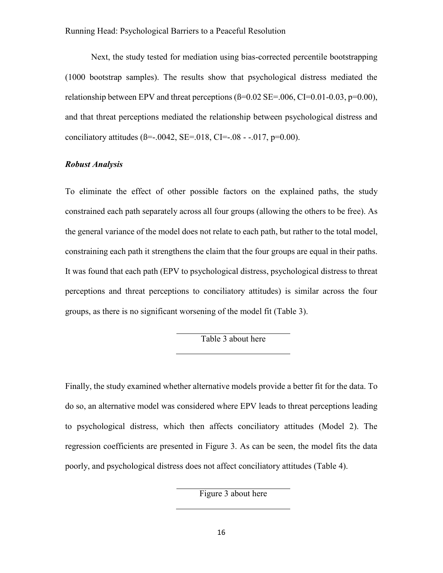Next, the study tested for mediation using bias-corrected percentile bootstrapping (1000 bootstrap samples). The results show that psychological distress mediated the relationship between EPV and threat perceptions  $(\beta=0.02 \text{ SE} = .006, \text{CI}=0.01 - 0.03, \text{p} = 0.00)$ , and that threat perceptions mediated the relationship between psychological distress and conciliatory attitudes ( $\beta$ =-.0042, SE=.018, CI=-.08 - -.017, p=0.00).

# *Robust Analysis*

To eliminate the effect of other possible factors on the explained paths, the study constrained each path separately across all four groups (allowing the others to be free). As the general variance of the model does not relate to each path, but rather to the total model, constraining each path it strengthens the claim that the four groups are equal in their paths. It was found that each path (EPV to psychological distress, psychological distress to threat perceptions and threat perceptions to conciliatory attitudes) is similar across the four groups, as there is no significant worsening of the model fit (Table 3).

Table 3 about here

Finally, the study examined whether alternative models provide a better fit for the data. To do so, an alternative model was considered where EPV leads to threat perceptions leading to psychological distress, which then affects conciliatory attitudes (Model 2). The regression coefficients are presented in Figure 3. As can be seen, the model fits the data poorly, and psychological distress does not affect conciliatory attitudes (Table 4).

Figure 3 about here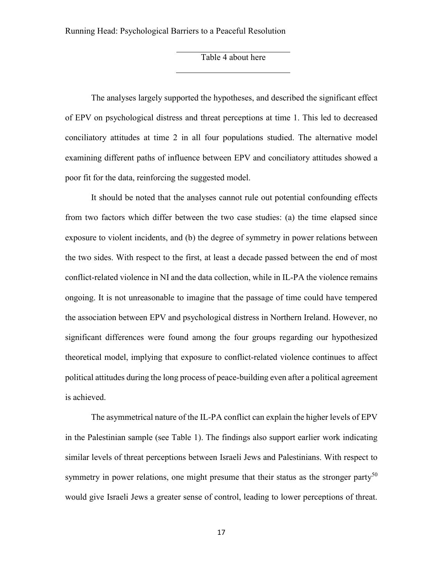Table 4 about here

The analyses largely supported the hypotheses, and described the significant effect of EPV on psychological distress and threat perceptions at time 1. This led to decreased conciliatory attitudes at time 2 in all four populations studied. The alternative model examining different paths of influence between EPV and conciliatory attitudes showed a poor fit for the data, reinforcing the suggested model.

It should be noted that the analyses cannot rule out potential confounding effects from two factors which differ between the two case studies: (a) the time elapsed since exposure to violent incidents, and (b) the degree of symmetry in power relations between the two sides. With respect to the first, at least a decade passed between the end of most conflict-related violence in NI and the data collection, while in IL-PA the violence remains ongoing. It is not unreasonable to imagine that the passage of time could have tempered the association between EPV and psychological distress in Northern Ireland. However, no significant differences were found among the four groups regarding our hypothesized theoretical model, implying that exposure to conflict-related violence continues to affect political attitudes during the long process of peace-building even after a political agreement is achieved.

The asymmetrical nature of the IL-PA conflict can explain the higher levels of EPV in the Palestinian sample (see Table 1). The findings also support earlier work indicating similar levels of threat perceptions between Israeli Jews and Palestinians. With respect to symmetry in power relations, one might presume that their status as the stronger party<sup>50</sup> would give Israeli Jews a greater sense of control, leading to lower perceptions of threat.

17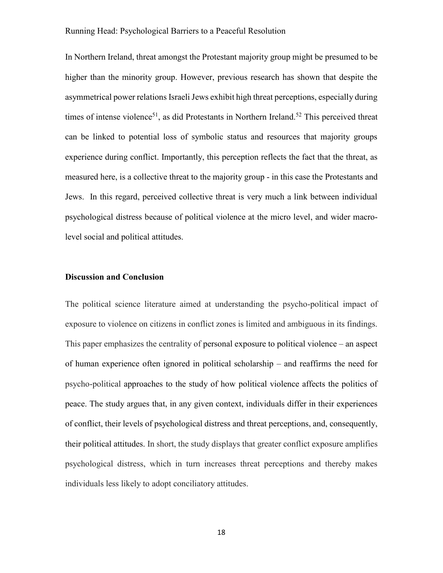In Northern Ireland, threat amongst the Protestant majority group might be presumed to be higher than the minority group. However, previous research has shown that despite the asymmetrical power relations Israeli Jews exhibit high threat perceptions, especially during times of intense violence<sup>51</sup>, as did Protestants in Northern Ireland.<sup>52</sup> This perceived threat can be linked to potential loss of symbolic status and resources that majority groups experience during conflict. Importantly, this perception reflects the fact that the threat, as measured here, is a collective threat to the majority group - in this case the Protestants and Jews. In this regard, perceived collective threat is very much a link between individual psychological distress because of political violence at the micro level, and wider macrolevel social and political attitudes.

# **Discussion and Conclusion**

The political science literature aimed at understanding the psycho-political impact of exposure to violence on citizens in conflict zones is limited and ambiguous in its findings. This paper emphasizes the centrality of personal exposure to political violence – an aspect of human experience often ignored in political scholarship – and reaffirms the need for psycho-political approaches to the study of how political violence affects the politics of peace. The study argues that, in any given context, individuals differ in their experiences of conflict, their levels of psychological distress and threat perceptions, and, consequently, their political attitudes. In short, the study displays that greater conflict exposure amplifies psychological distress, which in turn increases threat perceptions and thereby makes individuals less likely to adopt conciliatory attitudes.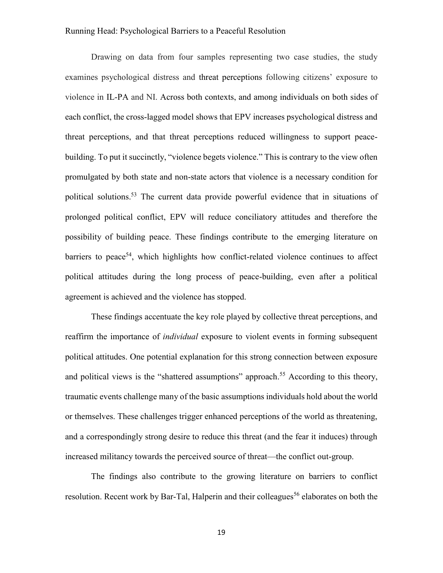Drawing on data from four samples representing two case studies, the study examines psychological distress and threat perceptions following citizens' exposure to violence in IL-PA and NI. Across both contexts, and among individuals on both sides of each conflict, the cross-lagged model shows that EPV increases psychological distress and threat perceptions, and that threat perceptions reduced willingness to support peacebuilding. To put it succinctly, "violence begets violence." This is contrary to the view often promulgated by both state and non-state actors that violence is a necessary condition for political solutions. <sup>53</sup> The current data provide powerful evidence that in situations of prolonged political conflict, EPV will reduce conciliatory attitudes and therefore the possibility of building peace. These findings contribute to the emerging literature on barriers to peace<sup>54</sup>, which highlights how conflict-related violence continues to affect political attitudes during the long process of peace-building, even after a political agreement is achieved and the violence has stopped.

These findings accentuate the key role played by collective threat perceptions, and reaffirm the importance of *individual* exposure to violent events in forming subsequent political attitudes. One potential explanation for this strong connection between exposure and political views is the "shattered assumptions" approach.<sup>55</sup> According to this theory, traumatic events challenge many of the basic assumptions individuals hold about the world or themselves. These challenges trigger enhanced perceptions of the world as threatening, and a correspondingly strong desire to reduce this threat (and the fear it induces) through increased militancy towards the perceived source of threat—the conflict out-group.

The findings also contribute to the growing literature on barriers to conflict resolution. Recent work by Bar-Tal, Halperin and their colleagues<sup>56</sup> elaborates on both the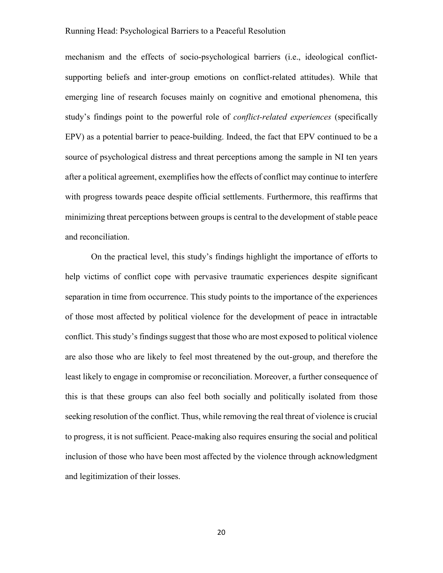mechanism and the effects of socio-psychological barriers (i.e., ideological conflictsupporting beliefs and inter-group emotions on conflict-related attitudes). While that emerging line of research focuses mainly on cognitive and emotional phenomena, this study's findings point to the powerful role of *conflict-related experiences* (specifically EPV) as a potential barrier to peace-building. Indeed, the fact that EPV continued to be a source of psychological distress and threat perceptions among the sample in NI ten years after a political agreement, exemplifies how the effects of conflict may continue to interfere with progress towards peace despite official settlements. Furthermore, this reaffirms that minimizing threat perceptions between groups is central to the development of stable peace and reconciliation.

On the practical level, this study's findings highlight the importance of efforts to help victims of conflict cope with pervasive traumatic experiences despite significant separation in time from occurrence. This study points to the importance of the experiences of those most affected by political violence for the development of peace in intractable conflict. This study's findings suggest that those who are most exposed to political violence are also those who are likely to feel most threatened by the out-group, and therefore the least likely to engage in compromise or reconciliation. Moreover, a further consequence of this is that these groups can also feel both socially and politically isolated from those seeking resolution of the conflict. Thus, while removing the real threat of violence is crucial to progress, it is not sufficient. Peace-making also requires ensuring the social and political inclusion of those who have been most affected by the violence through acknowledgment and legitimization of their losses.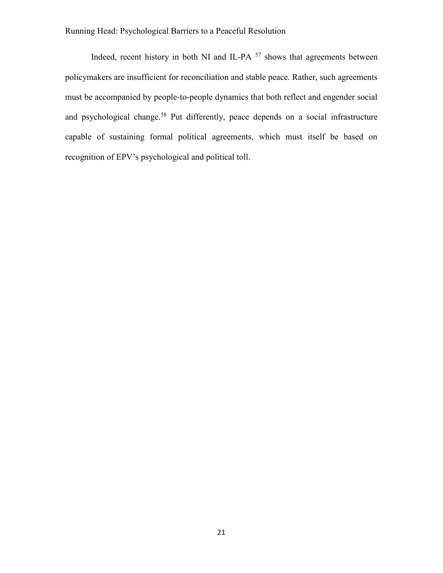Indeed, recent history in both NI and IL-PA  $57$  shows that agreements between policymakers are insufficient for reconciliation and stable peace. Rather, such agreements must be accompanied by people-to-people dynamics that both reflect and engender social and psychological change.<sup>58</sup> Put differently, peace depends on a social infrastructure capable of sustaining formal political agreements, which must itself be based on recognition of EPV's psychological and political toll.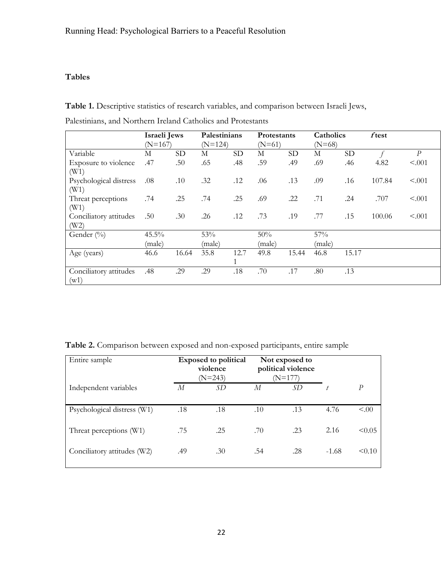# **Tables**

**Table 1.** Descriptive statistics of research variables, and comparison between Israeli Jews,

|  | Palestinians, and Northern Ireland Catholics and Protestants |  |  |  |
|--|--------------------------------------------------------------|--|--|--|
|--|--------------------------------------------------------------|--|--|--|

|                        | Israeli Jews |           | Palestinians          |           |        | Catholics<br>Protestants |        |           | ftest  |                  |
|------------------------|--------------|-----------|-----------------------|-----------|--------|--------------------------|--------|-----------|--------|------------------|
|                        | $(N=167)$    |           | $(N=124)$<br>$(N=61)$ |           |        | $(N=68)$                 |        |           |        |                  |
| Variable               | М            | <b>SD</b> | М                     | <b>SD</b> | М      | <b>SD</b>                | М      | <b>SD</b> |        | $\boldsymbol{P}$ |
| Exposure to violence   | .47          | .50       | .65                   | .48       | .59    | .49                      | .69    | .46       | 4.82   | < .001           |
| (W1)                   |              |           |                       |           |        |                          |        |           |        |                  |
| Psychological distress | .08          | .10       | .32                   | .12       | .06    | .13                      | .09    | .16       | 107.84 | < .001           |
| (W1)                   |              |           |                       |           |        |                          |        |           |        |                  |
| Threat perceptions     | .74          | .25       | .74                   | .25       | .69    | .22                      | .71    | .24       | .707   | < .001           |
| (W1)                   |              |           |                       |           |        |                          |        |           |        |                  |
| Conciliatory attitudes | .50          | .30       | .26                   | .12       | .73    | .19                      | .77    | .15       | 100.06 | < .001           |
| (W2)                   |              |           |                       |           |        |                          |        |           |        |                  |
| Gender (%)             | 45.5%        |           | 53%                   |           | 50%    |                          | 57%    |           |        |                  |
|                        | (male)       |           | (male)                |           | (male) |                          | (male) |           |        |                  |
| Age (years)            | 46.6         | 16.64     | 35.8                  | 12.7      | 49.8   | 15.44                    | 46.8   | 15.17     |        |                  |
|                        |              |           |                       | 1         |        |                          |        |           |        |                  |
| Conciliatory attitudes | .48          | .29       | .29                   | .18       | .70    | .17                      | .80    | .13       |        |                  |
| (w1)                   |              |           |                       |           |        |                          |        |           |        |                  |

**Table 2.** Comparison between exposed and non-exposed participants, entire sample

| Entire sample               | <b>Exposed to political</b><br>violence<br>$(N=243)$ |     | Not exposed to<br>political violence<br>$(N=177)$ |     |         |        |
|-----------------------------|------------------------------------------------------|-----|---------------------------------------------------|-----|---------|--------|
| Independent variables       | М                                                    | SD  | М                                                 | SD  |         | P      |
| Psychological distress (W1) | .18                                                  | .18 | .10                                               | .13 | 4.76    | < 00   |
| Threat perceptions (W1)     | .75                                                  | .25 | .70                                               | .23 | 2.16    | < 0.05 |
| Conciliatory attitudes (W2) | .49                                                  | .30 | .54                                               | .28 | $-1.68$ | < 0.10 |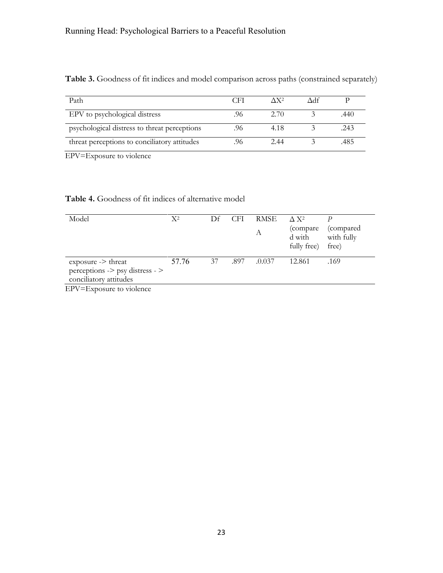| Path                                         | CEI | $\Lambda$ X <sup>2</sup> | Adf |      |
|----------------------------------------------|-----|--------------------------|-----|------|
| EPV to psychological distress                |     | 2.70                     |     | .440 |
| psychological distress to threat perceptions |     | 4.18                     |     | .243 |
| threat perceptions to conciliatory attitudes |     | 2.44                     |     | .485 |

Table 3. Goodness of fit indices and model comparison across paths (constrained separately)

EPV=Exposure to violence

# **Table 4.** Goodness of fit indices of alternative model

| Model                                                                                                                | $X^2$ | Df | <b>CFI</b> | <b>RMSE</b><br>А | $\Lambda$ X <sup>2</sup><br>(compare)<br>d with<br>fully free) | (compared)<br>with fully<br>free) |
|----------------------------------------------------------------------------------------------------------------------|-------|----|------------|------------------|----------------------------------------------------------------|-----------------------------------|
| $exposure \rightarrow threat$<br>$perceptions \rightarrow \text{psy distress} \rightarrow$<br>conciliatory attitudes | 57.76 | 37 | .897       | .0.037           | 12.861                                                         | .169                              |

EPV=Exposure to violence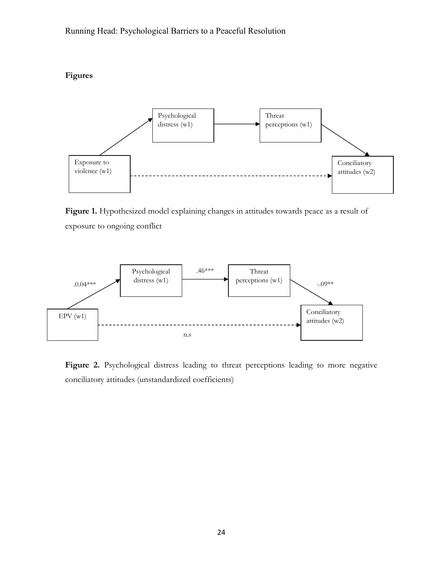**Figures** 



Figure 1. Hypothesized model explaining changes in attitudes towards peace as a result of exposure to ongoing conflict



Figure 2. Psychological distress leading to threat perceptions leading to more negative conciliatory attitudes (unstandardized coefficients)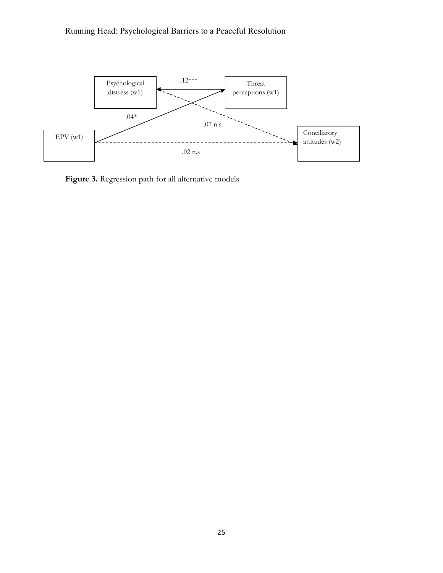

Figure 3. Regression path for all alternative models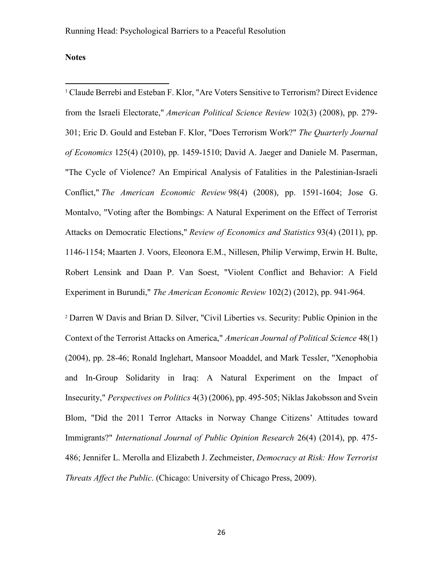**Notes**

 $\overline{\phantom{a}}$ 

<sup>1</sup> Claude Berrebi and Esteban F. Klor, "Are Voters Sensitive to Terrorism? Direct Evidence from the Israeli Electorate," *American Political Science Review* 102(3) (2008), pp. 279- 301; Eric D. Gould and Esteban F. Klor, "Does Terrorism Work?" *The Quarterly Journal of Economics* 125(4) (2010), pp. 1459-1510; David A. Jaeger and Daniele M. Paserman, "The Cycle of Violence? An Empirical Analysis of Fatalities in the Palestinian-Israeli Conflict," *The American Economic Review* 98(4) (2008), pp. 1591-1604; Jose G. Montalvo, "Voting after the Bombings: A Natural Experiment on the Effect of Terrorist Attacks on Democratic Elections," *Review of Economics and Statistics* 93(4) (2011), pp. 1146-1154; Maarten J. Voors, Eleonora E.M., Nillesen, Philip Verwimp, Erwin H. Bulte, Robert Lensink and Daan P. Van Soest, "Violent Conflict and Behavior: A Field Experiment in Burundi," *The American Economic Review* 102(2) (2012), pp. 941-964.

<sup>2</sup> Darren W Davis and Brian D. Silver, "Civil Liberties vs. Security: Public Opinion in the Context of the Terrorist Attacks on America," *American Journal of Political Science* 48(1) (2004), pp. 28-46; Ronald Inglehart, Mansoor Moaddel, and Mark Tessler, "Xenophobia and In-Group Solidarity in Iraq: A Natural Experiment on the Impact of Insecurity," *Perspectives on Politics* 4(3) (2006), pp. 495-505; Niklas Jakobsson and Svein Blom, "Did the 2011 Terror Attacks in Norway Change Citizens' Attitudes toward Immigrants?" *International Journal of Public Opinion Research* 26(4) (2014), pp. 475- 486; Jennifer L. Merolla and Elizabeth J. Zechmeister, *Democracy at Risk: How Terrorist Threats Affect the Public*. (Chicago: University of Chicago Press, 2009).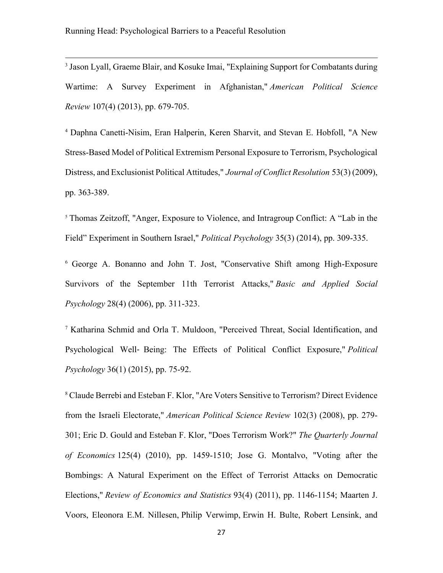<sup>3</sup> Jason Lyall, Graeme Blair, and Kosuke Imai, "Explaining Support for Combatants during Wartime: A Survey Experiment in Afghanistan," *American Political Science Review* 107(4) (2013), pp. 679-705.

<sup>4</sup> Daphna Canetti-Nisim, Eran Halperin, Keren Sharvit, and Stevan E. Hobfoll, "A New Stress-Based Model of Political Extremism Personal Exposure to Terrorism, Psychological Distress, and Exclusionist Political Attitudes," *Journal of Conflict Resolution* 53(3) (2009), pp. 363-389.

<sup>5</sup> Thomas Zeitzoff, "Anger, Exposure to Violence, and Intragroup Conflict: A "Lab in the Field" Experiment in Southern Israel," *Political Psychology* 35(3) (2014), pp. 309-335.

<sup>6</sup> George A. Bonanno and John T. Jost, "Conservative Shift among High-Exposure Survivors of the September 11th Terrorist Attacks," *Basic and Applied Social Psychology* 28(4) (2006), pp. 311-323.

<sup>7</sup> Katharina Schmid and Orla T. Muldoon, "Perceived Threat, Social Identification, and Psychological Well‐ Being: The Effects of Political Conflict Exposure," *Political Psychology* 36(1) (2015), pp. 75-92.

<sup>8</sup> Claude Berrebi and Esteban F. Klor, "Are Voters Sensitive to Terrorism? Direct Evidence from the Israeli Electorate," *American Political Science Review* 102(3) (2008), pp. 279- 301; Eric D. Gould and Esteban F. Klor, "Does Terrorism Work?" *The Quarterly Journal of Economics* 125(4) (2010), pp. 1459-1510; Jose G. Montalvo, "Voting after the Bombings: A Natural Experiment on the Effect of Terrorist Attacks on Democratic Elections," *Review of Economics and Statistics* 93(4) (2011), pp. 1146-1154; Maarten J. Voors, Eleonora E.M. Nillesen, Philip Verwimp, Erwin H. Bulte, Robert Lensink, and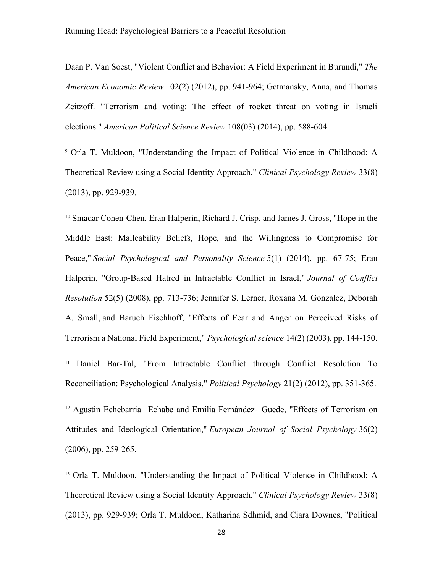Daan P. Van Soest, "Violent Conflict and Behavior: A Field Experiment in Burundi," *The American Economic Review* 102(2) (2012), pp. 941-964; Getmansky, Anna, and Thomas Zeitzoff. "Terrorism and voting: The effect of rocket threat on voting in Israeli elections." *American Political Science Review* 108(03) (2014), pp. 588-604.

<sup>9</sup> Orla T. Muldoon, "Understanding the Impact of Political Violence in Childhood: A Theoretical Review using a Social Identity Approach," *Clinical Psychology Review* 33(8) (2013), pp. 929-939.

<sup>10</sup> Smadar Cohen-Chen, Eran Halperin, Richard J. Crisp, and James J. Gross, "Hope in the Middle East: Malleability Beliefs, Hope, and the Willingness to Compromise for Peace," *Social Psychological and Personality Science* 5(1) (2014), pp. 67-75; Eran Halperin, "Group-Based Hatred in Intractable Conflict in Israel," *Journal of Conflict Resolution* 52(5) (2008), pp. 713-736; Jennifer S. Lerner, [Roxana M. Gonzalez,](http://journals.sagepub.com/author/Gonzalez%2C+Roxana+M) [Deborah](http://journals.sagepub.com/author/Small%2C+Deborah+A)  [A. Small,](http://journals.sagepub.com/author/Small%2C+Deborah+A) and [Baruch Fischhoff,](http://journals.sagepub.com/author/Fischhoff%2C+Baruch) "Effects of Fear and Anger on Perceived Risks of Terrorism a National Field Experiment," *Psychological science* 14(2) (2003), pp. 144-150.

<sup>11</sup> Daniel Bar-Tal, "From Intractable Conflict through Conflict Resolution To Reconciliation: Psychological Analysis," *Political Psychology* 21(2) (2012), pp. 351-365.

<sup>12</sup> Agustin Echebarria‐ Echabe and Emilia Fernández‐ Guede, "Effects of Terrorism on Attitudes and Ideological Orientation," *European Journal of Social Psychology* 36(2) (2006), pp. 259-265.

<sup>13</sup> Orla T. Muldoon, "Understanding the Impact of Political Violence in Childhood: A Theoretical Review using a Social Identity Approach," *Clinical Psychology Review* 33(8) (2013), pp. 929-939; Orla T. Muldoon, Katharina Sdhmid, and Ciara Downes, "Political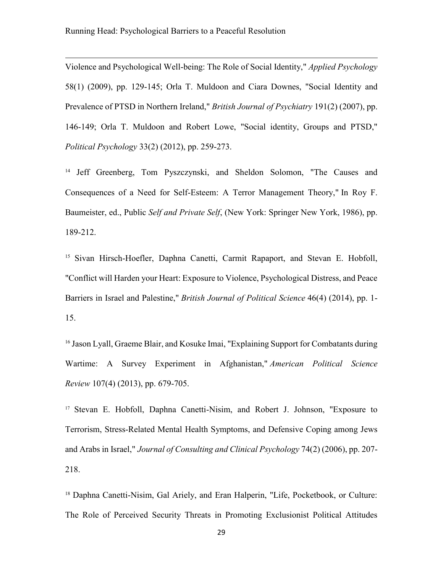Violence and Psychological Well-being: The Role of Social Identity," *Applied Psychology* 58(1) (2009), pp. 129-145; Orla T. Muldoon and Ciara Downes, "Social Identity and Prevalence of PTSD in Northern Ireland," *British Journal of Psychiatry* 191(2) (2007), pp. 146-149; Orla T. Muldoon and Robert Lowe, "Social identity, Groups and PTSD," *Political Psychology* 33(2) (2012), pp. 259-273.

<sup>14</sup> Jeff Greenberg, Tom Pyszczynski, and Sheldon Solomon, "The Causes and Consequences of a Need for Self-Esteem: A Terror Management Theory," In Roy F. Baumeister, ed., Public *Self and Private Self*, (New York: Springer New York, 1986), pp. 189-212.

<sup>15</sup> Sivan Hirsch-Hoefler, Daphna Canetti, Carmit Rapaport, and Stevan E. Hobfoll, "Conflict will Harden your Heart: Exposure to Violence, Psychological Distress, and Peace Barriers in Israel and Palestine," *British Journal of Political Science* 46(4) (2014), pp. 1- 15.

<sup>16</sup> Jason Lyall, Graeme Blair, and Kosuke Imai, "Explaining Support for Combatants during Wartime: A Survey Experiment in Afghanistan," *American Political Science Review* 107(4) (2013), pp. 679-705.

<sup>17</sup> Stevan E. Hobfoll, Daphna Canetti-Nisim, and Robert J. Johnson, "Exposure to Terrorism, Stress-Related Mental Health Symptoms, and Defensive Coping among Jews and Arabs in Israel," *Journal of Consulting and Clinical Psychology* 74(2) (2006), pp. 207- 218.

<sup>18</sup> Daphna Canetti-Nisim, Gal Ariely, and Eran Halperin, "Life, Pocketbook, or Culture: The Role of Perceived Security Threats in Promoting Exclusionist Political Attitudes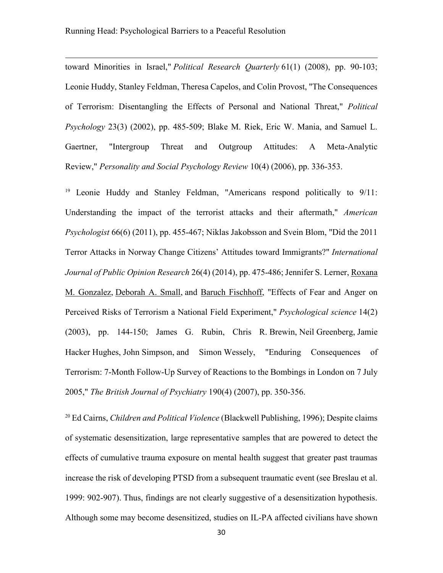toward Minorities in Israel," *Political Research Quarterly* 61(1) (2008), pp. 90-103; Leonie Huddy, Stanley Feldman, Theresa Capelos, and Colin Provost, "The Consequences of Terrorism: Disentangling the Effects of Personal and National Threat," *Political Psychology* 23(3) (2002), pp. 485-509; Blake M. Riek, Eric W. Mania, and Samuel L. Gaertner, "Intergroup Threat and Outgroup Attitudes: A Meta-Analytic Review," *Personality and Social Psychology Review* 10(4) (2006), pp. 336-353.

<sup>19</sup> Leonie Huddy and Stanley Feldman, "Americans respond politically to 9/11: Understanding the impact of the terrorist attacks and their aftermath," *American Psychologist* 66(6) (2011), pp. 455-467; Niklas Jakobsson and Svein Blom, "Did the 2011 Terror Attacks in Norway Change Citizens' Attitudes toward Immigrants?" *International Journal of Public Opinion Research* 26(4) (2014), pp. 475-486; Jennifer S. Lerner, [Roxana](http://journals.sagepub.com/author/Gonzalez%2C+Roxana+M)  [M. Gonzalez,](http://journals.sagepub.com/author/Gonzalez%2C+Roxana+M) [Deborah A. Small,](http://journals.sagepub.com/author/Small%2C+Deborah+A) and [Baruch Fischhoff,](http://journals.sagepub.com/author/Fischhoff%2C+Baruch) "Effects of Fear and Anger on Perceived Risks of Terrorism a National Field Experiment," *Psychological science* 14(2) (2003), pp. 144-150; James G. Rubin, Chris R. Brewin, Neil Greenberg, Jamie Hacker Hughes, John Simpson, and Simon Wessely, "Enduring Consequences of Terrorism: 7-Month Follow-Up Survey of Reactions to the Bombings in London on 7 July 2005," *The British Journal of Psychiatry* 190(4) (2007), pp. 350-356.

<sup>20</sup> Ed Cairns, *Children and Political Violence* (Blackwell Publishing, 1996); Despite claims of systematic desensitization, large representative samples that are powered to detect the effects of cumulative trauma exposure on mental health suggest that greater past traumas increase the risk of developing PTSD from a subsequent traumatic event (see Breslau et al. 1999: 902-907). Thus, findings are not clearly suggestive of a desensitization hypothesis. Although some may become desensitized, studies on IL-PA affected civilians have shown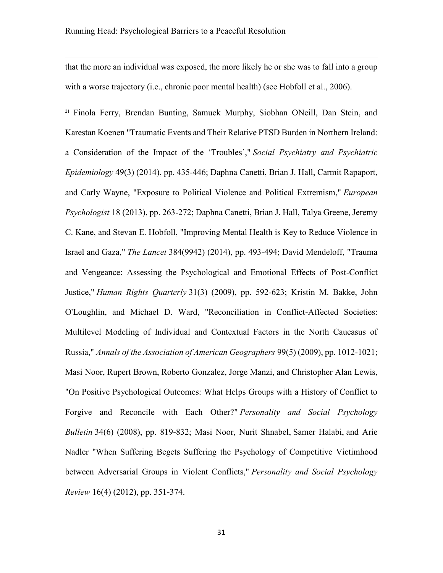that the more an individual was exposed, the more likely he or she was to fall into a group with a worse trajectory (i.e., chronic poor mental health) (see Hobfoll et al., 2006).

<sup>21</sup> Finola Ferry, Brendan Bunting, Samuek Murphy, Siobhan ONeill, Dan Stein, and Karestan Koenen "Traumatic Events and Their Relative PTSD Burden in Northern Ireland: a Consideration of the Impact of the 'Troubles'," *Social Psychiatry and Psychiatric Epidemiology* 49(3) (2014), pp. 435-446; Daphna Canetti, Brian J. Hall, Carmit Rapaport, and Carly Wayne, "Exposure to Political Violence and Political Extremism," *European Psychologist* 18 (2013), pp. 263-272; Daphna Canetti, Brian J. Hall, Talya Greene, Jeremy C. Kane, and Stevan E. Hobfoll, "Improving Mental Health is Key to Reduce Violence in Israel and Gaza," *The Lancet* 384(9942) (2014), pp. 493-494; David Mendeloff, "Trauma and Vengeance: Assessing the Psychological and Emotional Effects of Post-Conflict Justice," *Human Rights Quarterly* 31(3) (2009), pp. 592-623; Kristin M. Bakke, John O'Loughlin, and Michael D. Ward, "Reconciliation in Conflict-Affected Societies: Multilevel Modeling of Individual and Contextual Factors in the North Caucasus of Russia," *Annals of the Association of American Geographers* 99(5) (2009), pp. 1012-1021; Masi Noor, [Rupert Brown,](http://journals.sagepub.com/author/Brown%2C+Rupert) [Roberto Gonzalez,](http://journals.sagepub.com/author/Gonzalez%2C+Roberto) [Jorge Manzi,](http://journals.sagepub.com/author/Manzi%2C+Jorge) [and Christopher Alan Lewis,](http://journals.sagepub.com/author/Lewis%2C+Christopher+Alan) "On Positive Psychological Outcomes: What Helps Groups with a History of Conflict to Forgive and Reconcile with Each Other?" *Personality and Social Psychology Bulletin* 34(6) (2008), pp. 819-832; Masi Noor, [Nurit Shnabel,](http://journals.sagepub.com/author/Shnabel%2C+Nurit) [Samer Halabi,](http://journals.sagepub.com/author/Halabi%2C+Samer) and [Arie](http://journals.sagepub.com/author/Nadler%2C+Arie)  [Nadler](http://journals.sagepub.com/author/Nadler%2C+Arie) "When Suffering Begets Suffering the Psychology of Competitive Victimhood between Adversarial Groups in Violent Conflicts," *Personality and Social Psychology Review* 16(4) (2012), pp. 351-374.

31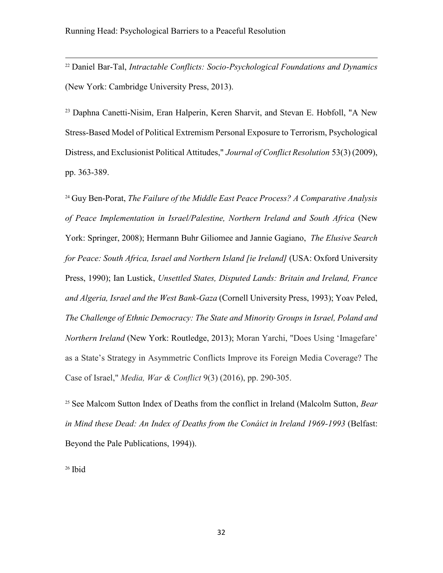<sup>22</sup> Daniel Bar-Tal, *Intractable Conflicts: Socio-Psychological Foundations and Dynamics* (New York: Cambridge University Press, 2013).

<sup>23</sup> Daphna Canetti-Nisim, Eran Halperin, Keren Sharvit, and Stevan E. Hobfoll, "A New Stress-Based Model of Political Extremism Personal Exposure to Terrorism, Psychological Distress, and Exclusionist Political Attitudes," *Journal of Conflict Resolution* 53(3) (2009), pp. 363-389.

<sup>24</sup> Guy Ben-Porat, *The Failure of the Middle East Peace Process? A Comparative Analysis of Peace Implementation in Israel/Palestine, Northern Ireland and South Africa* (New York: Springer, 2008); Hermann Buhr Giliomee and Jannie Gagiano, *The Elusive Search for Peace: South Africa, Israel and Northern Island [ie Ireland]* (USA: Oxford University Press, 1990); Ian Lustick, *Unsettled States, Disputed Lands: Britain and Ireland, France and Algeria, Israel and the West Bank-Gaza* (Cornell University Press, 1993); Yoav Peled, *The Challenge of Ethnic Democracy: The State and Minority Groups in Israel, Poland and Northern Ireland* (New York: Routledge, 2013); Moran Yarchi, "Does Using 'Imagefare' as a State's Strategy in Asymmetric Conflicts Improve its Foreign Media Coverage? The Case of Israel," *Media, War & Conflict* 9(3) (2016), pp. 290-305.

<sup>25</sup> See Malcom Sutton Index of Deaths from the conflict in Ireland (Malcolm Sutton, *Bear in Mind these Dead: An Index of Deaths from the Conáict in Ireland 1969-1993* (Belfast: Beyond the Pale Publications, 1994)).

<sup>26</sup> Ibid

 $\overline{\phantom{a}}$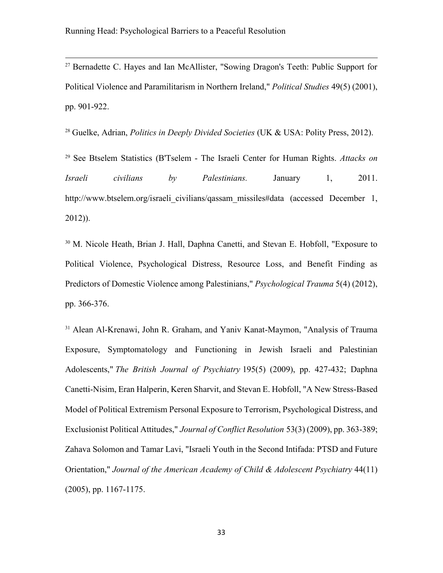<sup>27</sup> Bernadette C. Hayes and Ian McAllister, "Sowing Dragon's Teeth: Public Support for Political Violence and Paramilitarism in Northern Ireland," *Political Studies* 49(5) (2001), pp. 901-922.

<sup>28</sup> Guelke, Adrian, *Politics in Deeply Divided Societies* (UK & USA: Polity Press, 2012).

<sup>29</sup> See Btselem Statistics (B'Tselem - The Israeli Center for Human Rights. *Attacks on Israeli civilians by Palestinians.* January 1, 2011. http://www.btselem.org/israeli\_civilians/qassam\_missiles#data (accessed December 1, 2012)).

<sup>30</sup> M. Nicole Heath, Brian J. Hall, Daphna Canetti, and Stevan E. Hobfoll, "Exposure to Political Violence, Psychological Distress, Resource Loss, and Benefit Finding as Predictors of Domestic Violence among Palestinians," *Psychological Trauma* 5(4) (2012), pp. 366-376.

<sup>31</sup> Alean Al-Krenawi, John R. Graham, and Yaniv Kanat-Maymon, "Analysis of Trauma Exposure, Symptomatology and Functioning in Jewish Israeli and Palestinian Adolescents," *The British Journal of Psychiatry* 195(5) (2009), pp. 427-432; Daphna Canetti-Nisim, Eran Halperin, Keren Sharvit, and Stevan E. Hobfoll, "A New Stress-Based Model of Political Extremism Personal Exposure to Terrorism, Psychological Distress, and Exclusionist Political Attitudes," *Journal of Conflict Resolution* 53(3) (2009), pp. 363-389; Zahava Solomon and Tamar Lavi, "Israeli Youth in the Second Intifada: PTSD and Future Orientation," *Journal of the American Academy of Child & Adolescent Psychiatry* 44(11) (2005), pp. 1167-1175.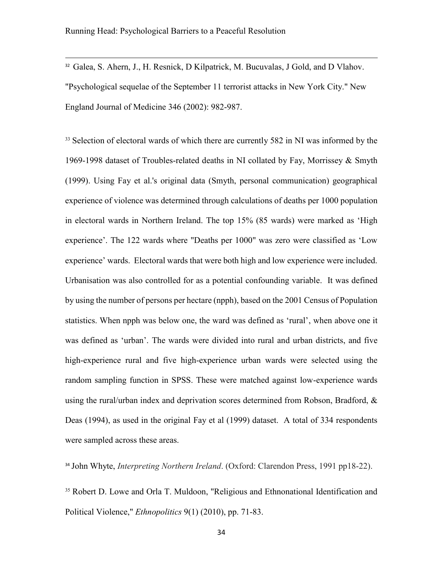32 Galea, S. Ahern, J., H. Resnick, D Kilpatrick, M. Bucuvalas, J Gold, and D Vlahov. "Psychological sequelae of the September 11 terrorist attacks in New York City." New England Journal of Medicine 346 (2002): 982-987.

<sup>33</sup> Selection of electoral wards of which there are currently 582 in NI was informed by the 1969-1998 dataset of Troubles-related deaths in NI collated by Fay, Morrissey & Smyth (1999). Using Fay et al.'s original data (Smyth, personal communication) geographical experience of violence was determined through calculations of deaths per 1000 population in electoral wards in Northern Ireland. The top 15% (85 wards) were marked as 'High experience'. The 122 wards where "Deaths per 1000" was zero were classified as 'Low experience' wards. Electoral wards that were both high and low experience were included. Urbanisation was also controlled for as a potential confounding variable. It was defined by using the number of persons per hectare (npph), based on the 2001 Census of Population statistics. When npph was below one, the ward was defined as 'rural', when above one it was defined as 'urban'. The wards were divided into rural and urban districts, and five high-experience rural and five high-experience urban wards were selected using the random sampling function in SPSS. These were matched against low-experience wards using the rural/urban index and deprivation scores determined from Robson, Bradford, & Deas (1994), as used in the original Fay et al (1999) dataset. A total of 334 respondents were sampled across these areas.

<sup>34</sup> John Whyte, *Interpreting Northern Ireland*. (Oxford: Clarendon Press, 1991 pp18-22).

<sup>35</sup> Robert D. Lowe and Orla T. Muldoon, "Religious and Ethnonational Identification and Political Violence," *Ethnopolitics* 9(1) (2010), pp. 71-83.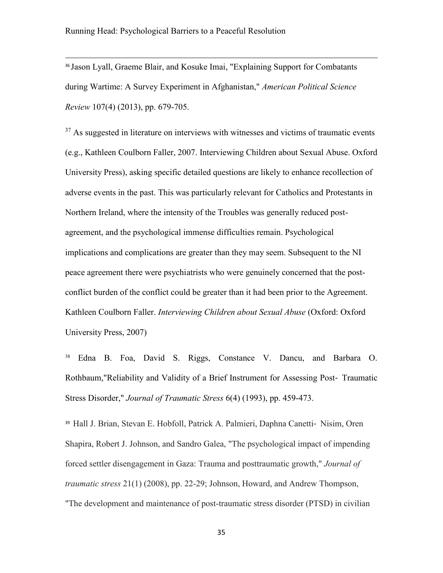<sup>36</sup> Jason Lyall, Graeme Blair, and Kosuke Imai, "Explaining Support for Combatants during Wartime: A Survey Experiment in Afghanistan," *American Political Science Review* 107(4) (2013), pp. 679-705.

 $37$  As suggested in literature on interviews with witnesses and victims of traumatic events (e.g., Kathleen Coulborn Faller, 2007. Interviewing Children about Sexual Abuse. Oxford University Press), asking specific detailed questions are likely to enhance recollection of adverse events in the past. This was particularly relevant for Catholics and Protestants in Northern Ireland, where the intensity of the Troubles was generally reduced postagreement, and the psychological immense difficulties remain. Psychological implications and complications are greater than they may seem. Subsequent to the NI peace agreement there were psychiatrists who were genuinely concerned that the postconflict burden of the conflict could be greater than it had been prior to the Agreement. Kathleen Coulborn Faller. *Interviewing Children about Sexual Abuse* (Oxford: Oxford University Press, 2007)

<sup>38</sup> Edna B. Foa, David S. Riggs, Constance V. Dancu, and Barbara O. Rothbaum,"Reliability and Validity of a Brief Instrument for Assessing Post‐ Traumatic Stress Disorder," *Journal of Traumatic Stress* 6(4) (1993), pp. 459-473.

<sup>39</sup> Hall J. Brian, Stevan E. Hobfoll, Patrick A. Palmieri, Daphna Canetti‐ Nisim, Oren Shapira, Robert J. Johnson, and Sandro Galea, "The psychological impact of impending forced settler disengagement in Gaza: Trauma and posttraumatic growth," *Journal of traumatic stress* 21(1) (2008), pp. 22-29; Johnson, Howard, and Andrew Thompson, "The development and maintenance of post-traumatic stress disorder (PTSD) in civilian

35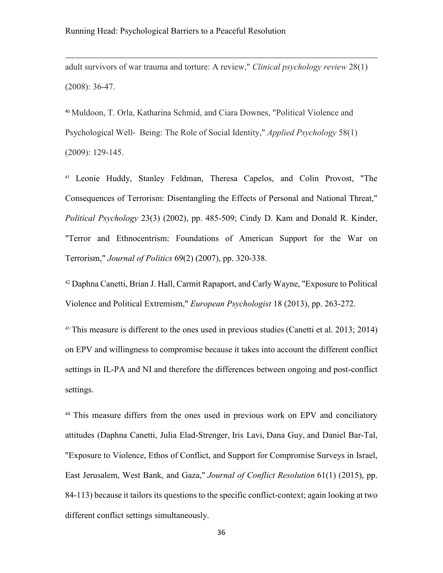adult survivors of war trauma and torture: A review," *Clinical psychology review* 28(1) (2008): 36-47.

<sup>40</sup> Muldoon, T. Orla, Katharina Schmid, and Ciara Downes, "Political Violence and Psychological Well‐ Being: The Role of Social Identity," *Applied Psychology* 58(1) (2009): 129-145.

<sup>41</sup> Leonie Huddy, Stanley Feldman, Theresa Capelos, and Colin Provost, "The Consequences of Terrorism: Disentangling the Effects of Personal and National Threat," *Political Psychology* 23(3) (2002), pp. 485-509; Cindy D. Kam and Donald R. Kinder, "Terror and Ethnocentrism: Foundations of American Support for the War on Terrorism," *Journal of Politics* 69(2) (2007), pp. 320-338.

<sup>42</sup> Daphna Canetti, Brian J. Hall, Carmit Rapaport, and Carly Wayne, "Exposure to Political Violence and Political Extremism," *European Psychologist* 18 (2013), pp. 263-272.

<sup>43</sup> This measure is different to the ones used in previous studies (Canetti et al. 2013; 2014) on EPV and willingness to compromise because it takes into account the different conflict settings in IL-PA and NI and therefore the differences between ongoing and post-conflict settings.

<sup>44</sup> This measure differs from the ones used in previous work on EPV and conciliatory attitudes (Daphna Canetti, [Julia Elad-Strenger,](http://journals.sagepub.com/author/Elad-Strenger%2C+Julia) [Iris Lavi,](http://journals.sagepub.com/author/Lavi%2C+Iris) [Dana Guy,](http://journals.sagepub.com/author/Guy%2C+Dana) and [Daniel Bar-Tal,](http://journals.sagepub.com/author/Bar-Tal%2C+Daniel) "Exposure to Violence, Ethos of Conflict, and Support for Compromise Surveys in Israel, East Jerusalem, West Bank, and Gaza," *Journal of Conflict Resolution* 61(1) (2015), pp. 84-113) because it tailors its questions to the specific conflict-context; again looking at two different conflict settings simultaneously.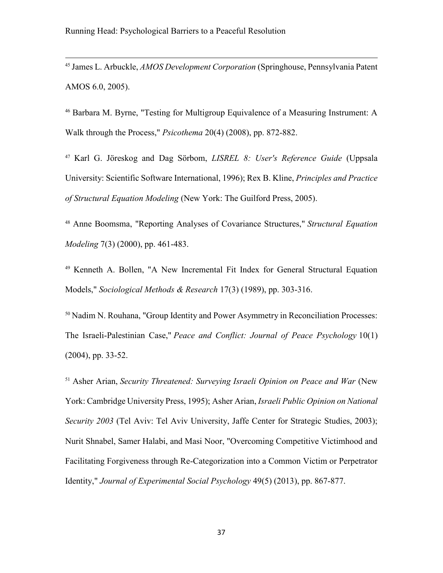<sup>45</sup> James L. Arbuckle, *AMOS Development Corporation* (Springhouse, Pennsylvania Patent AMOS 6.0, 2005).

<sup>46</sup> Barbara M. Byrne, "Testing for Multigroup Equivalence of a Measuring Instrument: A Walk through the Process," *Psicothema* 20(4) (2008), pp. 872-882.

<sup>47</sup> Karl G. Jöreskog and Dag Sörbom, *LISREL 8: User's Reference Guide* (Uppsala University: Scientific Software International, 1996); Rex B. Kline, *Principles and Practice of Structural Equation Modeling* (New York: The Guilford Press, 2005).

<sup>48</sup> Anne Boomsma, "Reporting Analyses of Covariance Structures," *Structural Equation Modeling* 7(3) (2000), pp. 461-483.

<sup>49</sup> Kenneth A. Bollen, "A New Incremental Fit Index for General Structural Equation Models," *Sociological Methods & Research* 17(3) (1989), pp. 303-316.

<sup>50</sup> Nadim N. Rouhana, "Group Identity and Power Asymmetry in Reconciliation Processes: The Israeli-Palestinian Case," *Peace and Conflict: Journal of Peace Psychology* 10(1) (2004), pp. 33-52.

<sup>51</sup> Asher Arian, *Security Threatened: Surveying Israeli Opinion on Peace and War* (New York: Cambridge University Press, 1995); Asher Arian, *Israeli Public Opinion on National Security 2003* (Tel Aviv: Tel Aviv University, Jaffe Center for Strategic Studies, 2003); Nurit Shnabel, Samer Halabi, and Masi Noor, "Overcoming Competitive Victimhood and Facilitating Forgiveness through Re-Categorization into a Common Victim or Perpetrator Identity," *Journal of Experimental Social Psychology* 49(5) (2013), pp. 867-877.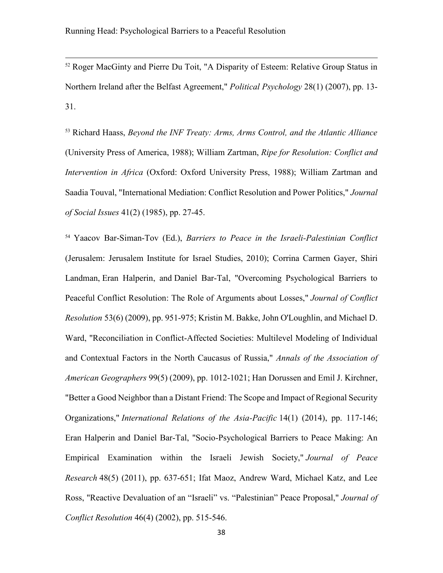<sup>52</sup> Roger MacGinty and Pierre Du Toit, "A Disparity of Esteem: Relative Group Status in Northern Ireland after the Belfast Agreement," *Political Psychology* 28(1) (2007), pp. 13- 31.

<sup>53</sup> Richard Haass, *Beyond the INF Treaty: Arms, Arms Control, and the Atlantic Alliance* (University Press of America, 1988); William Zartman, *Ripe for Resolution: Conflict and Intervention in Africa* (Oxford: Oxford University Press, 1988); William Zartman and Saadia Touval, "International Mediation: Conflict Resolution and Power Politics," *Journal of Social Issues* 41(2) (1985), pp. 27-45.

<sup>54</sup> Yaacov Bar-Siman-Tov (Ed.), *Barriers to Peace in the Israeli-Palestinian Conflict*  (Jerusalem: Jerusalem Institute for Israel Studies, 2010); Corrina Carmen Gayer, [Shiri](http://journals.sagepub.com/author/Landman%2C+Shiri)  [Landman,](http://journals.sagepub.com/author/Landman%2C+Shiri) [Eran Halperin,](http://journals.sagepub.com/author/Halperin%2C+Eran) and [Daniel Bar-Tal,](http://journals.sagepub.com/author/Bar-Tal%2C+Daniel) "Overcoming Psychological Barriers to Peaceful Conflict Resolution: The Role of Arguments about Losses," *Journal of Conflict Resolution* 53(6) (2009), pp. 951-975; Kristin M. Bakke, John O'Loughlin, and Michael D. Ward, "Reconciliation in Conflict-Affected Societies: Multilevel Modeling of Individual and Contextual Factors in the North Caucasus of Russia," *Annals of the Association of American Geographers* 99(5) (2009), pp. 1012-1021; Han Dorussen and Emil J. Kirchner, "Better a Good Neighbor than a Distant Friend: The Scope and Impact of Regional Security Organizations," *International Relations of the Asia-Pacific* 14(1) (2014), pp. 117-146; Eran Halperin and Daniel Bar-Tal, "Socio-Psychological Barriers to Peace Making: An Empirical Examination within the Israeli Jewish Society," *Journal of Peace Research* 48(5) (2011), pp. 637-651; Ifat Maoz, Andrew Ward, Michael Katz, and Lee Ross, "Reactive Devaluation of an "Israeli" vs. "Palestinian" Peace Proposal," *Journal of Conflict Resolution* 46(4) (2002), pp. 515-546.